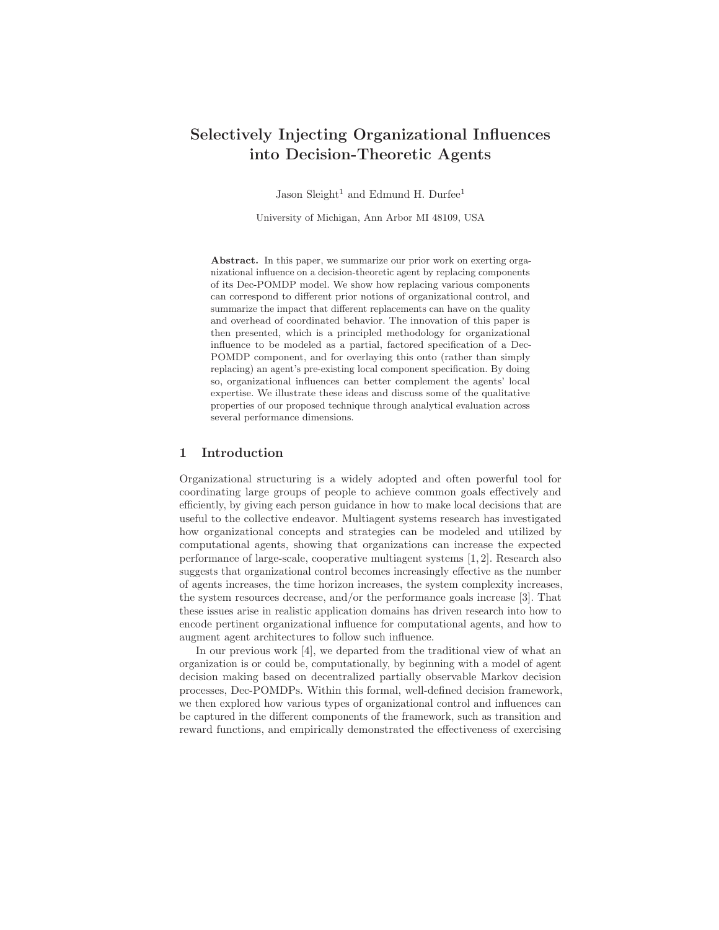# Selectively Injecting Organizational Influences into Decision-Theoretic Agents

Jason  $S$ leight<sup>1</sup> and Edmund H. Durfee<sup>1</sup>

University of Michigan, Ann Arbor MI 48109, USA

Abstract. In this paper, we summarize our prior work on exerting organizational influence on a decision-theoretic agent by replacing components of its Dec-POMDP model. We show how replacing various components can correspond to different prior notions of organizational control, and summarize the impact that different replacements can have on the quality and overhead of coordinated behavior. The innovation of this paper is then presented, which is a principled methodology for organizational influence to be modeled as a partial, factored specification of a Dec-POMDP component, and for overlaying this onto (rather than simply replacing) an agent's pre-existing local component specification. By doing so, organizational influences can better complement the agents' local expertise. We illustrate these ideas and discuss some of the qualitative properties of our proposed technique through analytical evaluation across several performance dimensions.

# 1 Introduction

Organizational structuring is a widely adopted and often powerful tool for coordinating large groups of people to achieve common goals effectively and efficiently, by giving each person guidance in how to make local decisions that are useful to the collective endeavor. Multiagent systems research has investigated how organizational concepts and strategies can be modeled and utilized by computational agents, showing that organizations can increase the expected performance of large-scale, cooperative multiagent systems [1, 2]. Research also suggests that organizational control becomes increasingly effective as the number of agents increases, the time horizon increases, the system complexity increases, the system resources decrease, and/or the performance goals increase [3]. That these issues arise in realistic application domains has driven research into how to encode pertinent organizational influence for computational agents, and how to augment agent architectures to follow such influence.

In our previous work [4], we departed from the traditional view of what an organization is or could be, computationally, by beginning with a model of agent decision making based on decentralized partially observable Markov decision processes, Dec-POMDPs. Within this formal, well-defined decision framework, we then explored how various types of organizational control and influences can be captured in the different components of the framework, such as transition and reward functions, and empirically demonstrated the effectiveness of exercising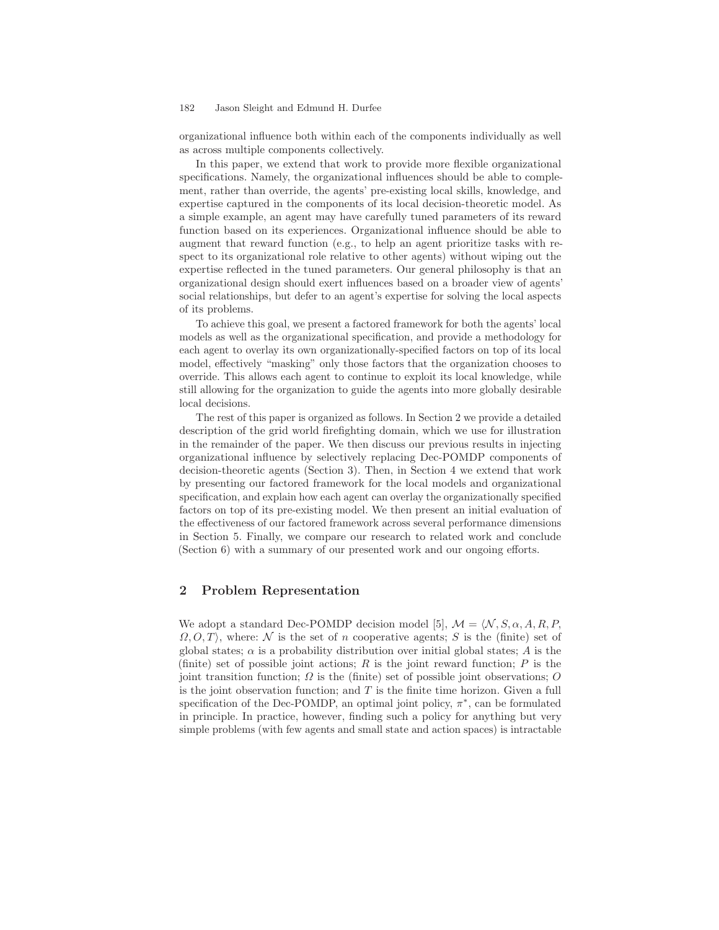#### 182 Jason Sleight and Edmund H. Durfee

organizational influence both within each of the components individually as well as across multiple components collectively.

In this paper, we extend that work to provide more flexible organizational specifications. Namely, the organizational influences should be able to complement, rather than override, the agents' pre-existing local skills, knowledge, and expertise captured in the components of its local decision-theoretic model. As a simple example, an agent may have carefully tuned parameters of its reward function based on its experiences. Organizational influence should be able to augment that reward function (e.g., to help an agent prioritize tasks with respect to its organizational role relative to other agents) without wiping out the expertise reflected in the tuned parameters. Our general philosophy is that an organizational design should exert influences based on a broader view of agents' social relationships, but defer to an agent's expertise for solving the local aspects of its problems.

To achieve this goal, we present a factored framework for both the agents' local models as well as the organizational specification, and provide a methodology for each agent to overlay its own organizationally-specified factors on top of its local model, effectively "masking" only those factors that the organization chooses to override. This allows each agent to continue to exploit its local knowledge, while still allowing for the organization to guide the agents into more globally desirable local decisions.

The rest of this paper is organized as follows. In Section 2 we provide a detailed description of the grid world firefighting domain, which we use for illustration in the remainder of the paper. We then discuss our previous results in injecting organizational influence by selectively replacing Dec-POMDP components of decision-theoretic agents (Section 3). Then, in Section 4 we extend that work by presenting our factored framework for the local models and organizational specification, and explain how each agent can overlay the organizationally specified factors on top of its pre-existing model. We then present an initial evaluation of the effectiveness of our factored framework across several performance dimensions in Section 5. Finally, we compare our research to related work and conclude (Section 6) with a summary of our presented work and our ongoing efforts.

## 2 Problem Representation

We adopt a standard Dec-POMDP decision model [5],  $\mathcal{M} = \langle N, S, \alpha, A, R, P, \rangle$  $\Omega, O, T$ , where: N is the set of n cooperative agents; S is the (finite) set of global states;  $\alpha$  is a probability distribution over initial global states; A is the (finite) set of possible joint actions;  $R$  is the joint reward function;  $P$  is the joint transition function;  $\Omega$  is the (finite) set of possible joint observations;  $O$ is the joint observation function; and  $T$  is the finite time horizon. Given a full specification of the Dec-POMDP, an optimal joint policy,  $\pi^*$ , can be formulated in principle. In practice, however, finding such a policy for anything but very simple problems (with few agents and small state and action spaces) is intractable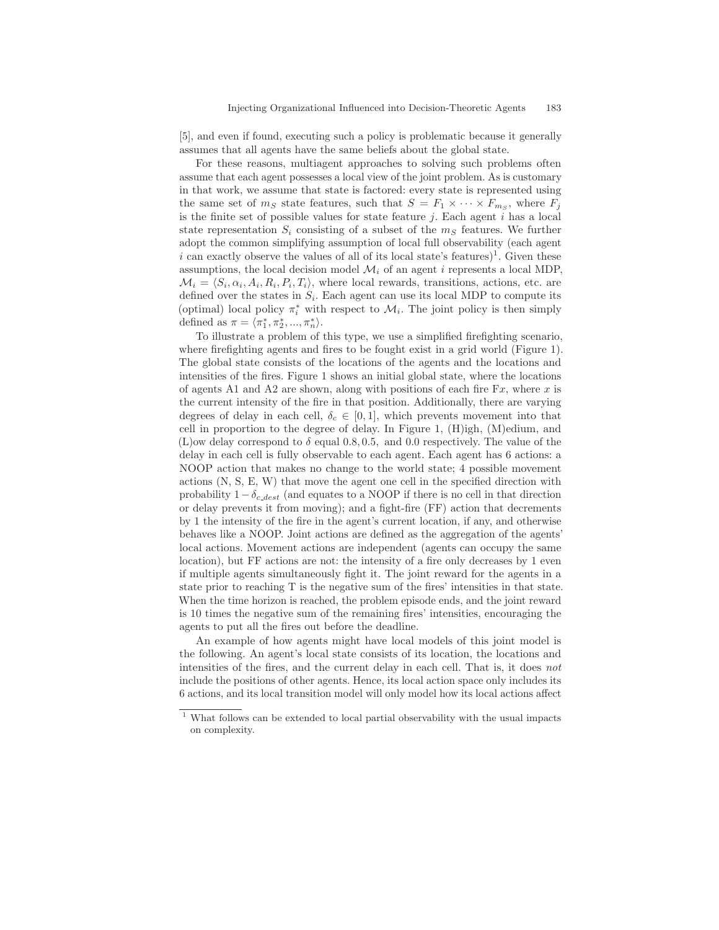[5], and even if found, executing such a policy is problematic because it generally assumes that all agents have the same beliefs about the global state.

For these reasons, multiagent approaches to solving such problems often assume that each agent possesses a local view of the joint problem. As is customary in that work, we assume that state is factored: every state is represented using the same set of  $m_S$  state features, such that  $S = F_1 \times \cdots \times F_{m_S}$ , where  $F_j$ is the finite set of possible values for state feature  $j$ . Each agent  $i$  has a local state representation  $S_i$  consisting of a subset of the  $m<sub>S</sub>$  features. We further adopt the common simplifying assumption of local full observability (each agent i can exactly observe the values of all of its local state's features)<sup>1</sup>. Given these assumptions, the local decision model  $\mathcal{M}_i$  of an agent i represents a local MDP,  $\mathcal{M}_i = \langle S_i, \alpha_i, A_i, R_i, P_i, T_i \rangle$ , where local rewards, transitions, actions, etc. are defined over the states in  $S_i$ . Each agent can use its local MDP to compute its (optimal) local policy  $\pi_i^*$  with respect to  $\mathcal{M}_i$ . The joint policy is then simply defined as  $\pi = \langle \pi_1^*, \pi_2^*, ..., \pi_n^* \rangle$ .

To illustrate a problem of this type, we use a simplified firefighting scenario, where firefighting agents and fires to be fought exist in a grid world (Figure 1). The global state consists of the locations of the agents and the locations and intensities of the fires. Figure 1 shows an initial global state, where the locations of agents A1 and A2 are shown, along with positions of each fire  $Fx$ , where x is the current intensity of the fire in that position. Additionally, there are varying degrees of delay in each cell,  $\delta_c \in [0,1]$ , which prevents movement into that cell in proportion to the degree of delay. In Figure 1, (H)igh, (M)edium, and (L)ow delay correspond to  $\delta$  equal 0.8, 0.5, and 0.0 respectively. The value of the delay in each cell is fully observable to each agent. Each agent has 6 actions: a NOOP action that makes no change to the world state; 4 possible movement actions (N, S, E, W) that move the agent one cell in the specified direction with probability  $1-\delta_{cdest}$  (and equates to a NOOP if there is no cell in that direction or delay prevents it from moving); and a fight-fire (FF) action that decrements by 1 the intensity of the fire in the agent's current location, if any, and otherwise behaves like a NOOP. Joint actions are defined as the aggregation of the agents' local actions. Movement actions are independent (agents can occupy the same location), but FF actions are not: the intensity of a fire only decreases by 1 even if multiple agents simultaneously fight it. The joint reward for the agents in a state prior to reaching T is the negative sum of the fires' intensities in that state. When the time horizon is reached, the problem episode ends, and the joint reward is 10 times the negative sum of the remaining fires' intensities, encouraging the agents to put all the fires out before the deadline.

An example of how agents might have local models of this joint model is the following. An agent's local state consists of its location, the locations and intensities of the fires, and the current delay in each cell. That is, it does not include the positions of other agents. Hence, its local action space only includes its 6 actions, and its local transition model will only model how its local actions affect

 $^{\rm 1}$  What follows can be extended to local partial observability with the usual impacts on complexity.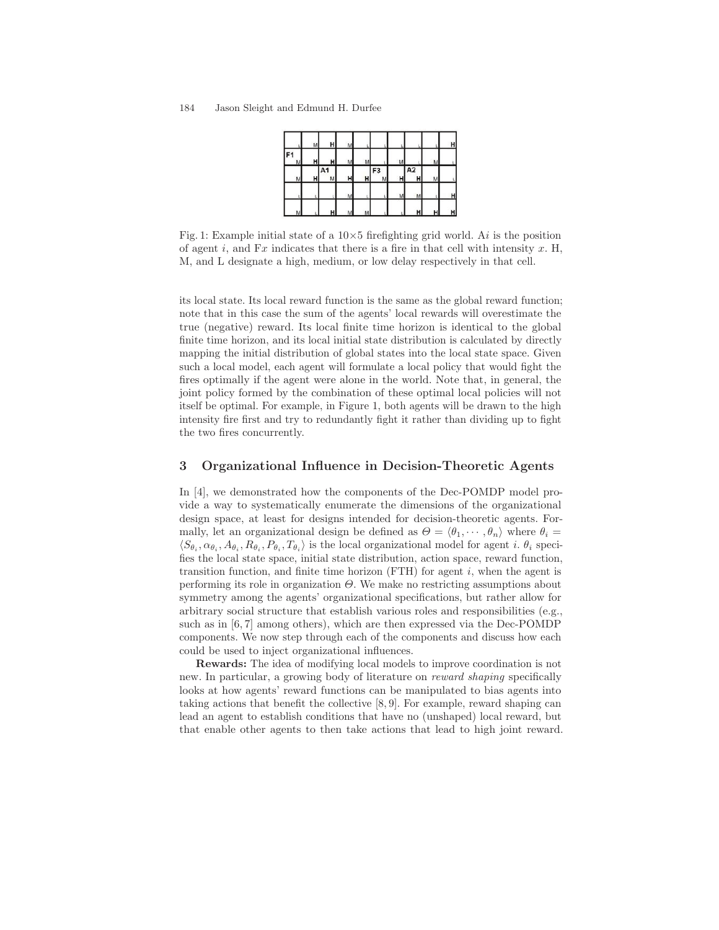|                     | M | н                   | M |   |                     |    |                |   | н |
|---------------------|---|---------------------|---|---|---------------------|----|----------------|---|---|
| F <sub>1</sub><br>M | н | н                   | M | м |                     | M. |                | M |   |
| M                   | н | A <sub>1</sub><br>M | н | н | F <sub>3</sub><br>M | н  | A <sub>2</sub> | М |   |
|                     |   |                     | M |   |                     | М  | M              |   |   |
|                     |   |                     |   |   |                     |    |                |   | н |

Fig. 1: Example initial state of a  $10\times5$  firefighting grid world. At is the position of agent i, and  $Fx$  indicates that there is a fire in that cell with intensity x. H, M, and L designate a high, medium, or low delay respectively in that cell.

its local state. Its local reward function is the same as the global reward function; note that in this case the sum of the agents' local rewards will overestimate the true (negative) reward. Its local finite time horizon is identical to the global finite time horizon, and its local initial state distribution is calculated by directly mapping the initial distribution of global states into the local state space. Given such a local model, each agent will formulate a local policy that would fight the fires optimally if the agent were alone in the world. Note that, in general, the joint policy formed by the combination of these optimal local policies will not itself be optimal. For example, in Figure 1, both agents will be drawn to the high intensity fire first and try to redundantly fight it rather than dividing up to fight the two fires concurrently.

# 3 Organizational Influence in Decision-Theoretic Agents

In [4], we demonstrated how the components of the Dec-POMDP model provide a way to systematically enumerate the dimensions of the organizational design space, at least for designs intended for decision-theoretic agents. Formally, let an organizational design be defined as  $\Theta = \langle \theta_1, \dots, \theta_n \rangle$  where  $\theta_i =$  $\langle S_{\theta_i}, \alpha_{\theta_i}, A_{\theta_i}, R_{\theta_i}, P_{\theta_i}, T_{\theta_i} \rangle$  is the local organizational model for agent *i*.  $\theta_i$  specifies the local state space, initial state distribution, action space, reward function, transition function, and finite time horizon  $(FTH)$  for agent i, when the agent is performing its role in organization  $\Theta$ . We make no restricting assumptions about symmetry among the agents' organizational specifications, but rather allow for arbitrary social structure that establish various roles and responsibilities (e.g., such as in [6, 7] among others), which are then expressed via the Dec-POMDP components. We now step through each of the components and discuss how each could be used to inject organizational influences.

Rewards: The idea of modifying local models to improve coordination is not new. In particular, a growing body of literature on *reward shaping* specifically looks at how agents' reward functions can be manipulated to bias agents into taking actions that benefit the collective [8, 9]. For example, reward shaping can lead an agent to establish conditions that have no (unshaped) local reward, but that enable other agents to then take actions that lead to high joint reward.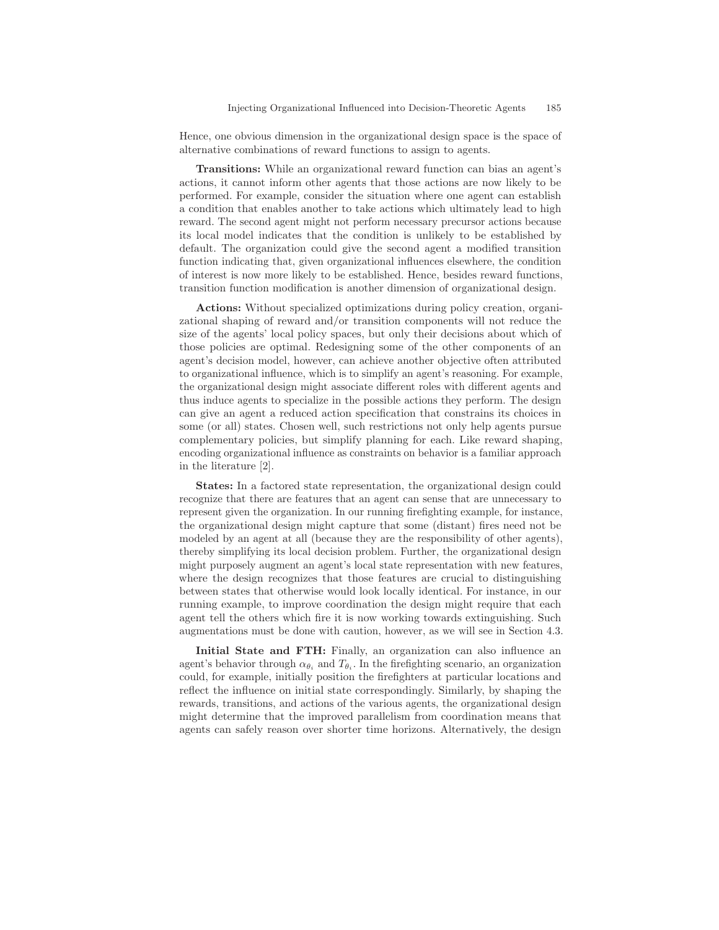Hence, one obvious dimension in the organizational design space is the space of alternative combinations of reward functions to assign to agents.

Transitions: While an organizational reward function can bias an agent's actions, it cannot inform other agents that those actions are now likely to be performed. For example, consider the situation where one agent can establish a condition that enables another to take actions which ultimately lead to high reward. The second agent might not perform necessary precursor actions because its local model indicates that the condition is unlikely to be established by default. The organization could give the second agent a modified transition function indicating that, given organizational influences elsewhere, the condition of interest is now more likely to be established. Hence, besides reward functions, transition function modification is another dimension of organizational design.

Actions: Without specialized optimizations during policy creation, organizational shaping of reward and/or transition components will not reduce the size of the agents' local policy spaces, but only their decisions about which of those policies are optimal. Redesigning some of the other components of an agent's decision model, however, can achieve another objective often attributed to organizational influence, which is to simplify an agent's reasoning. For example, the organizational design might associate different roles with different agents and thus induce agents to specialize in the possible actions they perform. The design can give an agent a reduced action specification that constrains its choices in some (or all) states. Chosen well, such restrictions not only help agents pursue complementary policies, but simplify planning for each. Like reward shaping, encoding organizational influence as constraints on behavior is a familiar approach in the literature [2].

States: In a factored state representation, the organizational design could recognize that there are features that an agent can sense that are unnecessary to represent given the organization. In our running firefighting example, for instance, the organizational design might capture that some (distant) fires need not be modeled by an agent at all (because they are the responsibility of other agents), thereby simplifying its local decision problem. Further, the organizational design might purposely augment an agent's local state representation with new features, where the design recognizes that those features are crucial to distinguishing between states that otherwise would look locally identical. For instance, in our running example, to improve coordination the design might require that each agent tell the others which fire it is now working towards extinguishing. Such augmentations must be done with caution, however, as we will see in Section 4.3.

Initial State and FTH: Finally, an organization can also influence an agent's behavior through  $\alpha_{\theta_i}$  and  $T_{\theta_i}$ . In the firefighting scenario, an organization could, for example, initially position the firefighters at particular locations and reflect the influence on initial state correspondingly. Similarly, by shaping the rewards, transitions, and actions of the various agents, the organizational design might determine that the improved parallelism from coordination means that agents can safely reason over shorter time horizons. Alternatively, the design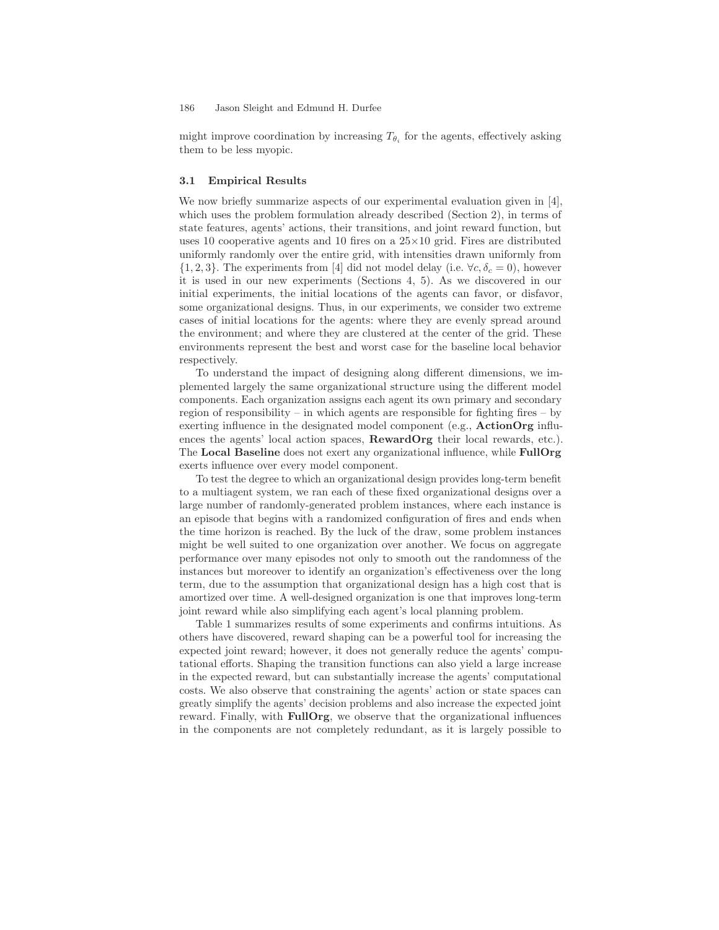might improve coordination by increasing  $T_{\theta_i}$  for the agents, effectively asking them to be less myopic.

#### 3.1 Empirical Results

We now briefly summarize aspects of our experimental evaluation given in [4], which uses the problem formulation already described (Section 2), in terms of state features, agents' actions, their transitions, and joint reward function, but uses 10 cooperative agents and 10 fires on a  $25\times10$  grid. Fires are distributed uniformly randomly over the entire grid, with intensities drawn uniformly from  $\{1, 2, 3\}$ . The experiments from [4] did not model delay (i.e.  $\forall c, \delta_c = 0$ ), however it is used in our new experiments (Sections 4, 5). As we discovered in our initial experiments, the initial locations of the agents can favor, or disfavor, some organizational designs. Thus, in our experiments, we consider two extreme cases of initial locations for the agents: where they are evenly spread around the environment; and where they are clustered at the center of the grid. These environments represent the best and worst case for the baseline local behavior respectively.

To understand the impact of designing along different dimensions, we implemented largely the same organizational structure using the different model components. Each organization assigns each agent its own primary and secondary region of responsibility – in which agents are responsible for fighting fires – by exerting influence in the designated model component (e.g., **ActionOrg** influences the agents' local action spaces, **RewardOrg** their local rewards, etc.). The Local Baseline does not exert any organizational influence, while FullOrg exerts influence over every model component.

To test the degree to which an organizational design provides long-term benefit to a multiagent system, we ran each of these fixed organizational designs over a large number of randomly-generated problem instances, where each instance is an episode that begins with a randomized configuration of fires and ends when the time horizon is reached. By the luck of the draw, some problem instances might be well suited to one organization over another. We focus on aggregate performance over many episodes not only to smooth out the randomness of the instances but moreover to identify an organization's effectiveness over the long term, due to the assumption that organizational design has a high cost that is amortized over time. A well-designed organization is one that improves long-term joint reward while also simplifying each agent's local planning problem.

Table 1 summarizes results of some experiments and confirms intuitions. As others have discovered, reward shaping can be a powerful tool for increasing the expected joint reward; however, it does not generally reduce the agents' computational efforts. Shaping the transition functions can also yield a large increase in the expected reward, but can substantially increase the agents' computational costs. We also observe that constraining the agents' action or state spaces can greatly simplify the agents' decision problems and also increase the expected joint reward. Finally, with FullOrg, we observe that the organizational influences in the components are not completely redundant, as it is largely possible to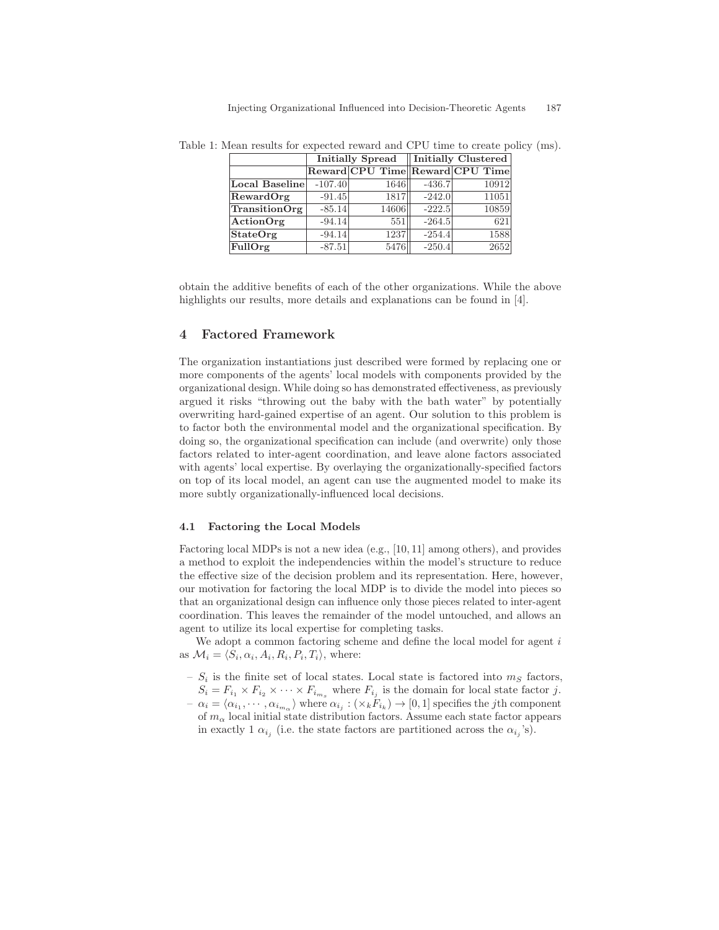|                      | Initially Spread |       | $\parallel$ Initially Clustered $\parallel$ |  |       |  |
|----------------------|------------------|-------|---------------------------------------------|--|-------|--|
|                      |                  |       | Reward CPU Time Reward CPU Time             |  |       |  |
| Local Baseline       | $-107.40$        | 1646  | $-436.7$                                    |  | 10912 |  |
| RewardOrg            | $-91.45$         | 1817  | $-242.0$                                    |  | 11051 |  |
| <b>TransitionOrg</b> | $-85.14$         | 14606 | $-222.5$                                    |  | 10859 |  |
| ActionOrg            | $-94.14$         | 551   | $-264.5$                                    |  | 621   |  |
| <b>StateOrg</b>      | $-94.14$         | 1237  | $-254.4$                                    |  | 1588  |  |
| FullOrg              | $-87.51$         | 5476  | $-250.4$                                    |  | 2652  |  |

Table 1: Mean results for expected reward and CPU time to create policy (ms).

obtain the additive benefits of each of the other organizations. While the above highlights our results, more details and explanations can be found in [4].

## 4 Factored Framework

The organization instantiations just described were formed by replacing one or more components of the agents' local models with components provided by the organizational design. While doing so has demonstrated effectiveness, as previously argued it risks "throwing out the baby with the bath water" by potentially overwriting hard-gained expertise of an agent. Our solution to this problem is to factor both the environmental model and the organizational specification. By doing so, the organizational specification can include (and overwrite) only those factors related to inter-agent coordination, and leave alone factors associated with agents' local expertise. By overlaying the organizationally-specified factors on top of its local model, an agent can use the augmented model to make its more subtly organizationally-influenced local decisions.

#### 4.1 Factoring the Local Models

Factoring local MDPs is not a new idea (e.g., [10, 11] among others), and provides a method to exploit the independencies within the model's structure to reduce the effective size of the decision problem and its representation. Here, however, our motivation for factoring the local MDP is to divide the model into pieces so that an organizational design can influence only those pieces related to inter-agent coordination. This leaves the remainder of the model untouched, and allows an agent to utilize its local expertise for completing tasks.

We adopt a common factoring scheme and define the local model for agent  $i$ as  $\mathcal{M}_i = \langle S_i, \alpha_i, A_i, R_i, P_i, T_i \rangle$ , where:

- $-S_i$  is the finite set of local states. Local state is factored into  $m_s$  factors,
- $S_i = F_{i_1} \times F_{i_2} \times \cdots \times F_{i_{m_s}}$  where  $F_{i_j}$  is the domain for local state factor j.  $-\alpha_i = \langle \alpha_{i_1}, \cdots, \alpha_{i_{m_\alpha}} \rangle$  where  $\alpha_{i_j} : (\times_k F_{i_k}) \to [0, 1]$  specifies the *j*th component of  $m_{\alpha}$  local initial state distribution factors. Assume each state factor appears in exactly 1  $\alpha_{i_j}$  (i.e. the state factors are partitioned across the  $\alpha_{i_j}$ 's).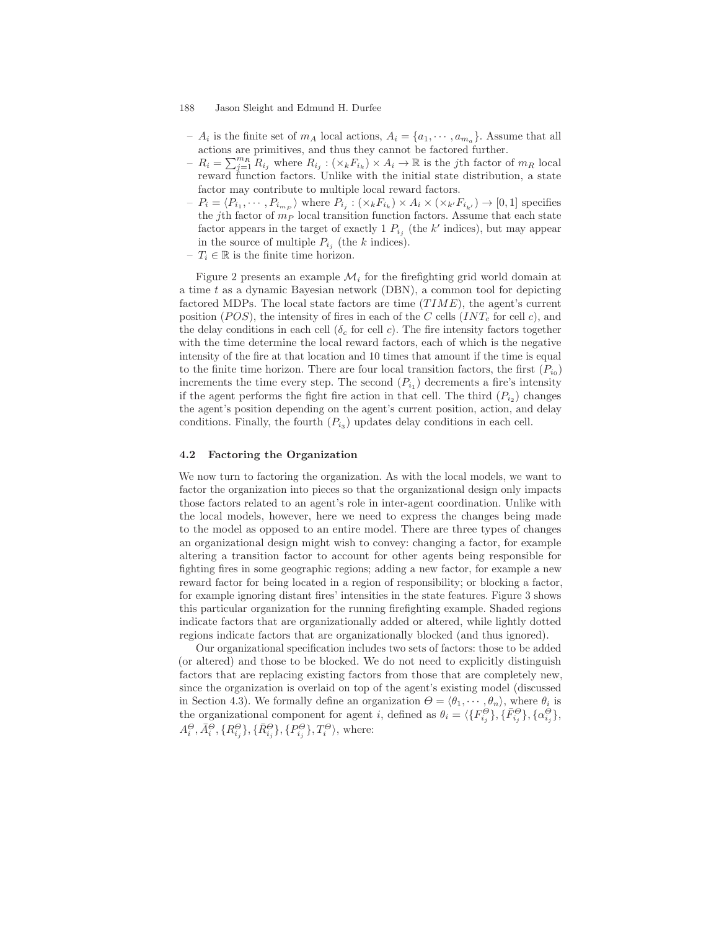#### 188 Jason Sleight and Edmund H. Durfee

- $-A_i$  is the finite set of  $m_A$  local actions,  $A_i = \{a_1, \dots, a_{m_a}\}\$ . Assume that all actions are primitives, and thus they cannot be factored further.
- $-R_i = \sum_{j=1}^{m_R} R_{i_j}$  where  $R_{i_j} : (\times_k F_{i_k}) \times A_i \to \mathbb{R}$  is the jth factor of  $m_R$  local reward function factors. Unlike with the initial state distribution, a state factor may contribute to multiple local reward factors.
- $P_i = \langle P_{i_1}, \cdots, P_{i_{m_p}} \rangle$  where  $P_{i_j} : (\times_k F_{i_k}) \times A_i \times (\times_{k'} F_{i_{k'}}) \rightarrow [0, 1]$  specifies the j<sup>th</sup> factor of  $m_P$  local transition function factors. Assume that each state factor appears in the target of exactly 1  $P_{i_j}$  (the k' indices), but may appear in the source of multiple  $P_{i_j}$  (the k indices).
- $T_i \in \mathbb{R}$  is the finite time horizon.

Figure 2 presents an example  $\mathcal{M}_i$  for the firefighting grid world domain at a time  $t$  as a dynamic Bayesian network (DBN), a common tool for depicting factored MDPs. The local state factors are time  $(TIME)$ , the agent's current position (POS), the intensity of fires in each of the C cells  $(INT_c$  for cell c), and the delay conditions in each cell  $(\delta_c$  for cell c). The fire intensity factors together with the time determine the local reward factors, each of which is the negative intensity of the fire at that location and 10 times that amount if the time is equal to the finite time horizon. There are four local transition factors, the first  $(P_{i_0})$ increments the time every step. The second  $(P_{i_1})$  decrements a fire's intensity if the agent performs the fight fire action in that cell. The third  $(P_{i_2})$  changes the agent's position depending on the agent's current position, action, and delay conditions. Finally, the fourth  $(P_{i_3})$  updates delay conditions in each cell.

#### 4.2 Factoring the Organization

We now turn to factoring the organization. As with the local models, we want to factor the organization into pieces so that the organizational design only impacts those factors related to an agent's role in inter-agent coordination. Unlike with the local models, however, here we need to express the changes being made to the model as opposed to an entire model. There are three types of changes an organizational design might wish to convey: changing a factor, for example altering a transition factor to account for other agents being responsible for fighting fires in some geographic regions; adding a new factor, for example a new reward factor for being located in a region of responsibility; or blocking a factor, for example ignoring distant fires' intensities in the state features. Figure 3 shows this particular organization for the running firefighting example. Shaded regions indicate factors that are organizationally added or altered, while lightly dotted regions indicate factors that are organizationally blocked (and thus ignored).

Our organizational specification includes two sets of factors: those to be added (or altered) and those to be blocked. We do not need to explicitly distinguish factors that are replacing existing factors from those that are completely new, since the organization is overlaid on top of the agent's existing model (discussed in Section 4.3). We formally define an organization  $\Theta = \langle \theta_1, \cdots, \theta_n \rangle$ , where  $\theta_i$  is the organizational component for agent i, defined as  $\theta_i = \langle \{F_{i_j}^{\Theta}\}, \{\bar{F}_{i_j}^{\Theta}\}, \{\alpha_{i_j}^{\Theta}\},\{\alpha_{i_j}^{\Theta}\}\rangle$  $A_i^{\Theta}, \bar{A}_i^{\Theta}, \{R_{i_j}^{\Theta}\}, \{\bar{R}_{i_j}^{\Theta}\}, \{P_{i_j}^{\Theta}\}, T_i^{\Theta}\rangle$ , where: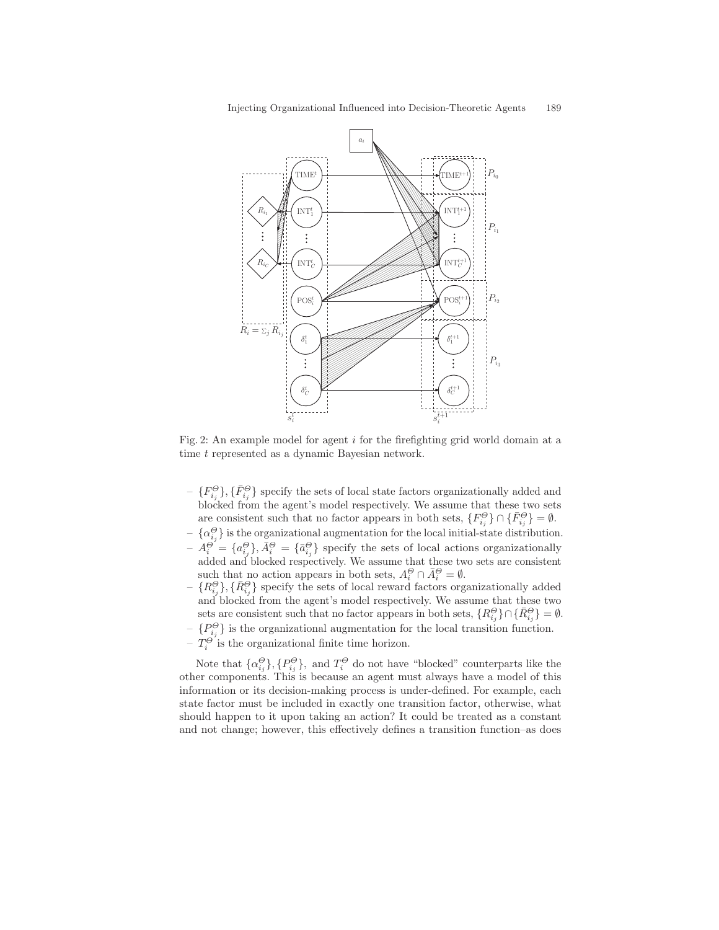

Fig. 2: An example model for agent  $i$  for the firefighting grid world domain at a time t represented as a dynamic Bayesian network.

- $\{F_{i_j}^{\Theta}\}, \{\bar{F}_{i_j}^{\Theta}\}$  specify the sets of local state factors organizationally added and blocked from the agent's model respectively. We assume that these two sets are consistent such that no factor appears in both sets,  $\{F_{i_j}^{\Theta}\}\cap \{\bar{F}_{i_j}^{\Theta}\}=\emptyset$ .
- $-\{ \alpha^{\Theta}_{i_j} \}$  is the organizational augmentation for the local initial-state distribution.  $-A_i^{\Theta'} = \{a_{i_j}^{\Theta}\}, \bar{A}_i^{\Theta} = \{\bar{a}_{i_j}^{\Theta}\}\$  specify the sets of local actions organizationally added and blocked respectively. We assume that these two sets are consistent such that no action appears in both sets,  $A_i^{\Theta} \cap \overline{A}_i^{\Theta} = \emptyset$ .
- $\{R_{i_j}^{\Theta}\}, \{\bar{R}_{i_j}^{\Theta}\}$  specify the sets of local reward factors organizationally added and blocked from the agent's model respectively. We assume that these two sets are consistent such that no factor appears in both sets,  ${R_{i}^{\Theta}}\} \cap {R_{i}^{\Theta}} = \emptyset$ .  $- \{P_{i_j}^{\Theta}\}\$ is the organizational augmentation for the local transition function.
- $-T_i^{\Theta}$  is the organizational finite time horizon.

Note that  $\{\alpha_{i_j}^{\Theta}\},\{P_{i_j}^{\Theta}\},\$  and  $T_i^{\Theta}$  do not have "blocked" counterparts like the other components. This is because an agent must always have a model of this information or its decision-making process is under-defined. For example, each state factor must be included in exactly one transition factor, otherwise, what should happen to it upon taking an action? It could be treated as a constant and not change; however, this effectively defines a transition function–as does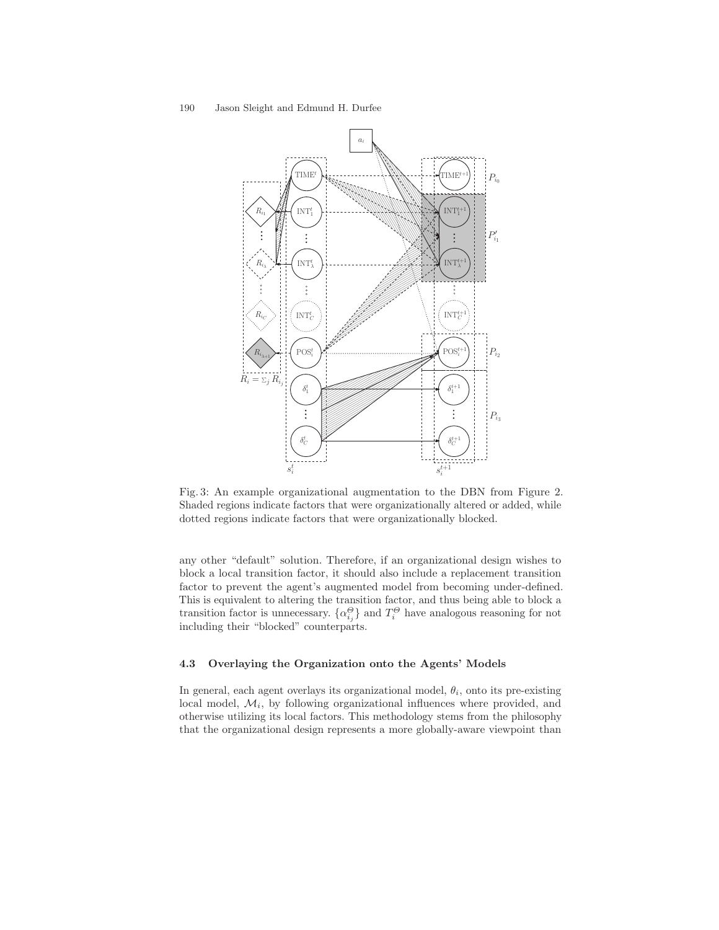

Fig. 3: An example organizational augmentation to the DBN from Figure 2. Shaded regions indicate factors that were organizationally altered or added, while dotted regions indicate factors that were organizationally blocked.

any other "default" solution. Therefore, if an organizational design wishes to block a local transition factor, it should also include a replacement transition factor to prevent the agent's augmented model from becoming under-defined. This is equivalent to altering the transition factor, and thus being able to block a transition factor is unnecessary.  $\{\alpha_{i_j}^{\Theta}\}\$  and  $T_i^{\Theta}$  have analogous reasoning for not including their "blocked" counterparts.

## 4.3 Overlaying the Organization onto the Agents' Models

In general, each agent overlays its organizational model,  $\theta_i$ , onto its pre-existing local model,  $\mathcal{M}_i$ , by following organizational influences where provided, and otherwise utilizing its local factors. This methodology stems from the philosophy that the organizational design represents a more globally-aware viewpoint than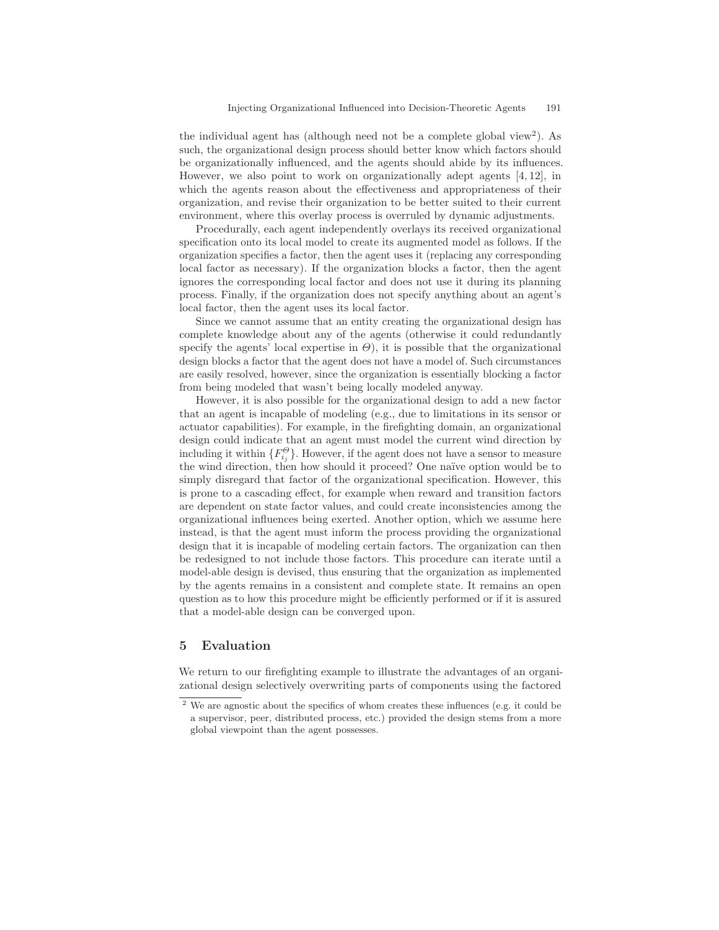the individual agent has (although need not be a complete global view<sup>2</sup> ). As such, the organizational design process should better know which factors should be organizationally influenced, and the agents should abide by its influences. However, we also point to work on organizationally adept agents  $[4, 12]$ , in which the agents reason about the effectiveness and appropriateness of their organization, and revise their organization to be better suited to their current environment, where this overlay process is overruled by dynamic adjustments.

Procedurally, each agent independently overlays its received organizational specification onto its local model to create its augmented model as follows. If the organization specifies a factor, then the agent uses it (replacing any corresponding local factor as necessary). If the organization blocks a factor, then the agent ignores the corresponding local factor and does not use it during its planning process. Finally, if the organization does not specify anything about an agent's local factor, then the agent uses its local factor.

Since we cannot assume that an entity creating the organizational design has complete knowledge about any of the agents (otherwise it could redundantly specify the agents' local expertise in  $\Theta$ ), it is possible that the organizational design blocks a factor that the agent does not have a model of. Such circumstances are easily resolved, however, since the organization is essentially blocking a factor from being modeled that wasn't being locally modeled anyway.

However, it is also possible for the organizational design to add a new factor that an agent is incapable of modeling (e.g., due to limitations in its sensor or actuator capabilities). For example, in the firefighting domain, an organizational design could indicate that an agent must model the current wind direction by including it within  ${F_{i,j}^{\Theta}}$ . However, if the agent does not have a sensor to measure the wind direction, then how should it proceed? One naïve option would be to simply disregard that factor of the organizational specification. However, this is prone to a cascading effect, for example when reward and transition factors are dependent on state factor values, and could create inconsistencies among the organizational influences being exerted. Another option, which we assume here instead, is that the agent must inform the process providing the organizational design that it is incapable of modeling certain factors. The organization can then be redesigned to not include those factors. This procedure can iterate until a model-able design is devised, thus ensuring that the organization as implemented by the agents remains in a consistent and complete state. It remains an open question as to how this procedure might be efficiently performed or if it is assured that a model-able design can be converged upon.

# 5 Evaluation

We return to our firefighting example to illustrate the advantages of an organizational design selectively overwriting parts of components using the factored

<sup>&</sup>lt;sup>2</sup> We are agnostic about the specifics of whom creates these influences (e.g. it could be a supervisor, peer, distributed process, etc.) provided the design stems from a more global viewpoint than the agent possesses.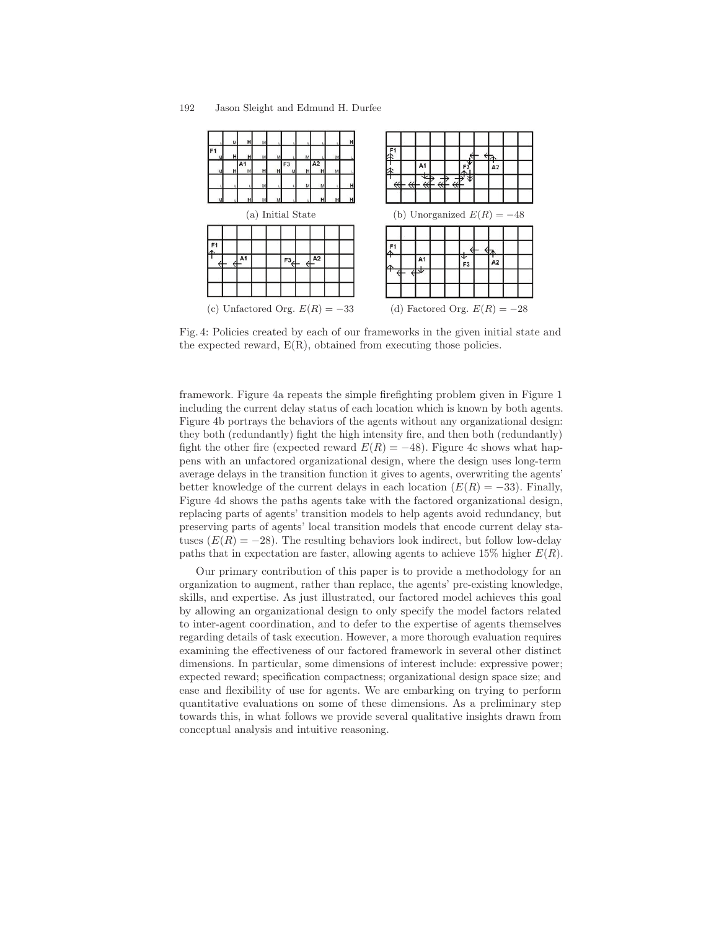

Fig. 4: Policies created by each of our frameworks in the given initial state and the expected reward,  $E(R)$ , obtained from executing those policies.

framework. Figure 4a repeats the simple firefighting problem given in Figure 1 including the current delay status of each location which is known by both agents. Figure 4b portrays the behaviors of the agents without any organizational design: they both (redundantly) fight the high intensity fire, and then both (redundantly) fight the other fire (expected reward  $E(R) = -48$ ). Figure 4c shows what happens with an unfactored organizational design, where the design uses long-term average delays in the transition function it gives to agents, overwriting the agents' better knowledge of the current delays in each location  $(E(R) = -33)$ . Finally, Figure 4d shows the paths agents take with the factored organizational design, replacing parts of agents' transition models to help agents avoid redundancy, but preserving parts of agents' local transition models that encode current delay statuses  $(E(R) = -28)$ . The resulting behaviors look indirect, but follow low-delay paths that in expectation are faster, allowing agents to achieve 15% higher  $E(R)$ .

Our primary contribution of this paper is to provide a methodology for an organization to augment, rather than replace, the agents' pre-existing knowledge, skills, and expertise. As just illustrated, our factored model achieves this goal by allowing an organizational design to only specify the model factors related to inter-agent coordination, and to defer to the expertise of agents themselves regarding details of task execution. However, a more thorough evaluation requires examining the effectiveness of our factored framework in several other distinct dimensions. In particular, some dimensions of interest include: expressive power; expected reward; specification compactness; organizational design space size; and ease and flexibility of use for agents. We are embarking on trying to perform quantitative evaluations on some of these dimensions. As a preliminary step towards this, in what follows we provide several qualitative insights drawn from conceptual analysis and intuitive reasoning.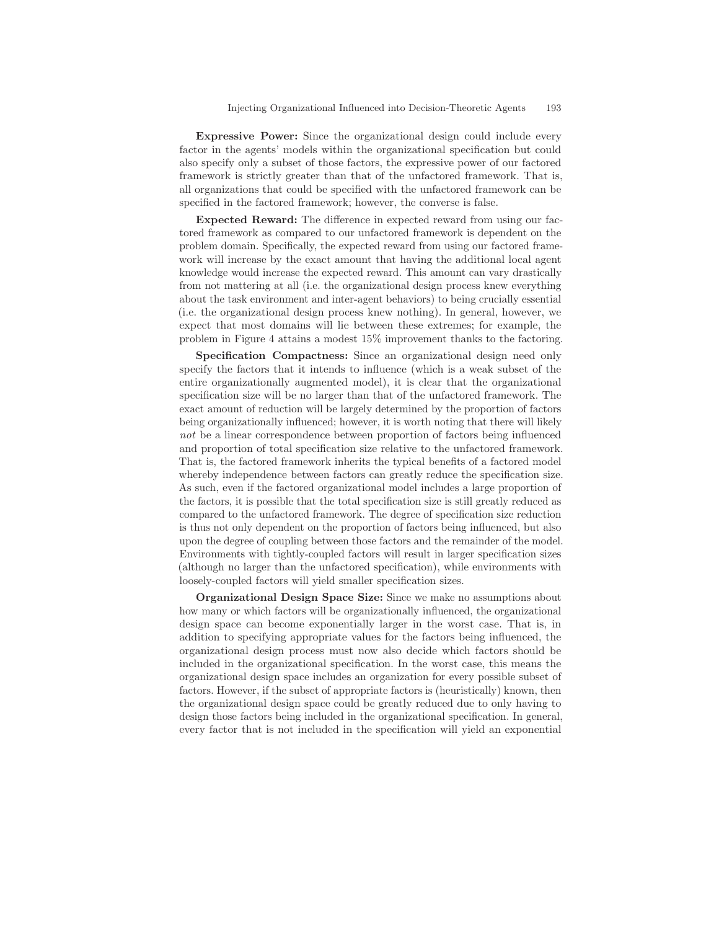Expressive Power: Since the organizational design could include every factor in the agents' models within the organizational specification but could also specify only a subset of those factors, the expressive power of our factored framework is strictly greater than that of the unfactored framework. That is, all organizations that could be specified with the unfactored framework can be specified in the factored framework; however, the converse is false.

Expected Reward: The difference in expected reward from using our factored framework as compared to our unfactored framework is dependent on the problem domain. Specifically, the expected reward from using our factored framework will increase by the exact amount that having the additional local agent knowledge would increase the expected reward. This amount can vary drastically from not mattering at all (i.e. the organizational design process knew everything about the task environment and inter-agent behaviors) to being crucially essential (i.e. the organizational design process knew nothing). In general, however, we expect that most domains will lie between these extremes; for example, the problem in Figure 4 attains a modest 15% improvement thanks to the factoring.

Specification Compactness: Since an organizational design need only specify the factors that it intends to influence (which is a weak subset of the entire organizationally augmented model), it is clear that the organizational specification size will be no larger than that of the unfactored framework. The exact amount of reduction will be largely determined by the proportion of factors being organizationally influenced; however, it is worth noting that there will likely not be a linear correspondence between proportion of factors being influenced and proportion of total specification size relative to the unfactored framework. That is, the factored framework inherits the typical benefits of a factored model whereby independence between factors can greatly reduce the specification size. As such, even if the factored organizational model includes a large proportion of the factors, it is possible that the total specification size is still greatly reduced as compared to the unfactored framework. The degree of specification size reduction is thus not only dependent on the proportion of factors being influenced, but also upon the degree of coupling between those factors and the remainder of the model. Environments with tightly-coupled factors will result in larger specification sizes (although no larger than the unfactored specification), while environments with loosely-coupled factors will yield smaller specification sizes.

Organizational Design Space Size: Since we make no assumptions about how many or which factors will be organizationally influenced, the organizational design space can become exponentially larger in the worst case. That is, in addition to specifying appropriate values for the factors being influenced, the organizational design process must now also decide which factors should be included in the organizational specification. In the worst case, this means the organizational design space includes an organization for every possible subset of factors. However, if the subset of appropriate factors is (heuristically) known, then the organizational design space could be greatly reduced due to only having to design those factors being included in the organizational specification. In general, every factor that is not included in the specification will yield an exponential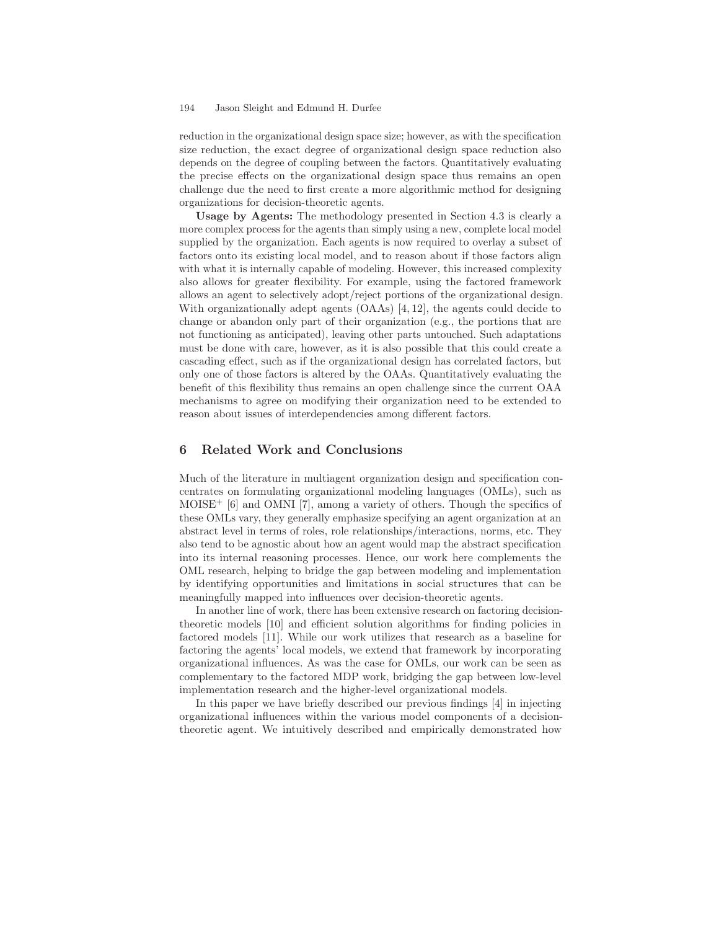#### 194 Jason Sleight and Edmund H. Durfee

reduction in the organizational design space size; however, as with the specification size reduction, the exact degree of organizational design space reduction also depends on the degree of coupling between the factors. Quantitatively evaluating the precise effects on the organizational design space thus remains an open challenge due the need to first create a more algorithmic method for designing organizations for decision-theoretic agents.

Usage by Agents: The methodology presented in Section 4.3 is clearly a more complex process for the agents than simply using a new, complete local model supplied by the organization. Each agents is now required to overlay a subset of factors onto its existing local model, and to reason about if those factors align with what it is internally capable of modeling. However, this increased complexity also allows for greater flexibility. For example, using the factored framework allows an agent to selectively adopt/reject portions of the organizational design. With organizationally adept agents (OAAs) [4, 12], the agents could decide to change or abandon only part of their organization (e.g., the portions that are not functioning as anticipated), leaving other parts untouched. Such adaptations must be done with care, however, as it is also possible that this could create a cascading effect, such as if the organizational design has correlated factors, but only one of those factors is altered by the OAAs. Quantitatively evaluating the benefit of this flexibility thus remains an open challenge since the current OAA mechanisms to agree on modifying their organization need to be extended to reason about issues of interdependencies among different factors.

# 6 Related Work and Conclusions

Much of the literature in multiagent organization design and specification concentrates on formulating organizational modeling languages (OMLs), such as  $MOISE^+$  [6] and OMNI [7], among a variety of others. Though the specifics of these OMLs vary, they generally emphasize specifying an agent organization at an abstract level in terms of roles, role relationships/interactions, norms, etc. They also tend to be agnostic about how an agent would map the abstract specification into its internal reasoning processes. Hence, our work here complements the OML research, helping to bridge the gap between modeling and implementation by identifying opportunities and limitations in social structures that can be meaningfully mapped into influences over decision-theoretic agents.

In another line of work, there has been extensive research on factoring decisiontheoretic models [10] and efficient solution algorithms for finding policies in factored models [11]. While our work utilizes that research as a baseline for factoring the agents' local models, we extend that framework by incorporating organizational influences. As was the case for OMLs, our work can be seen as complementary to the factored MDP work, bridging the gap between low-level implementation research and the higher-level organizational models.

In this paper we have briefly described our previous findings [4] in injecting organizational influences within the various model components of a decisiontheoretic agent. We intuitively described and empirically demonstrated how